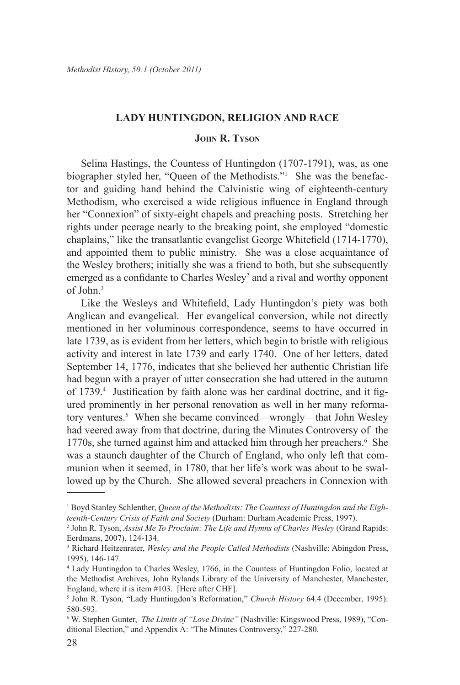### **Lady Huntingdon, Religion and Race**

# **John R. Tyson**

Selina Hastings, the Countess of Huntingdon (1707-1791), was, as one biographer styled her, "Queen of the Methodists."1 She was the benefactor and guiding hand behind the Calvinistic wing of eighteenth-century Methodism, who exercised a wide religious influence in England through her "Connexion" of sixty-eight chapels and preaching posts. Stretching her rights under peerage nearly to the breaking point, she employed "domestic chaplains," like the transatlantic evangelist George Whitefield (1714-1770), and appointed them to public ministry. She was a close acquaintance of the Wesley brothers; initially she was a friend to both, but she subsequently emerged as a confidante to Charles Wesley<sup>2</sup> and a rival and worthy opponent of John.3

Like the Wesleys and Whitefield, Lady Huntingdon's piety was both Anglican and evangelical. Her evangelical conversion, while not directly mentioned in her voluminous correspondence, seems to have occurred in late 1739, as is evident from her letters, which begin to bristle with religious activity and interest in late 1739 and early 1740. One of her letters, dated September 14, 1776, indicates that she believed her authentic Christian life had begun with a prayer of utter consecration she had uttered in the autumn of 1739.<sup>4</sup> Justification by faith alone was her cardinal doctrine, and it figured prominently in her personal renovation as well in her many reformatory ventures.<sup>5</sup> When she became convinced—wrongly—that John Wesley had veered away from that doctrine, during the Minutes Controversy of the 1770s, she turned against him and attacked him through her preachers.<sup>6</sup> She was a staunch daughter of the Church of England, who only left that communion when it seemed, in 1780, that her life's work was about to be swallowed up by the Church. She allowed several preachers in Connexion with

<sup>&</sup>lt;sup>1</sup> Boyd Stanley Schlenther, *Queen of the Methodists: The Countess of Huntingdon and the Eighteenth-Century Crisis of Faith and Society* (Durham: Durham Academic Press, 1997).

<sup>2</sup> John R. Tyson, *Assist Me To Proclaim: The Life and Hymns of Charles Wesley* (Grand Rapids: Eerdmans, 2007), 124-134.

<sup>3</sup> Richard Heitzenrater, *Wesley and the People Called Methodists* (Nashville: Abingdon Press, 1995), 146-147.

<sup>4</sup> Lady Huntingdon to Charles Wesley, 1766, in the Countess of Huntingdon Folio, located at the Methodist Archives, John Rylands Library of the University of Manchester, Manchester, England, where it is item #103. [Here after CHF].

<sup>5</sup> John R. Tyson, "Lady Huntingdon's Reformation," *Church History* 64.4 (December, 1995): 580-593.

<sup>6</sup> W. Stephen Gunter, *The Limits of "Love Divine"* (Nashville: Kingswood Press, 1989), "Conditional Election," and Appendix A: "The Minutes Controversy," 227-280.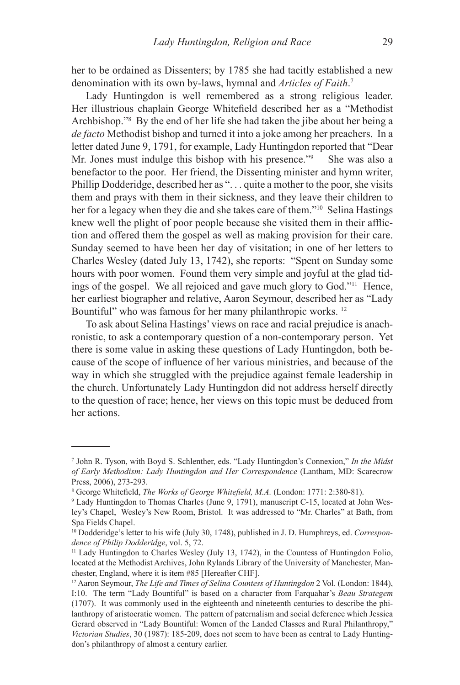her to be ordained as Dissenters; by 1785 she had tacitly established a new denomination with its own by-laws, hymnal and *Articles of Faith*. 7

Lady Huntingdon is well remembered as a strong religious leader. Her illustrious chaplain George Whitefield described her as a "Methodist Archbishop."8 By the end of her life she had taken the jibe about her being a *de facto* Methodist bishop and turned it into a joke among her preachers. In a letter dated June 9, 1791, for example, Lady Huntingdon reported that "Dear Mr. Jones must indulge this bishop with his presence."<sup>9</sup> She was also a benefactor to the poor. Her friend, the Dissenting minister and hymn writer, Phillip Dodderidge, described her as ". . . quite a mother to the poor, she visits them and prays with them in their sickness, and they leave their children to her for a legacy when they die and she takes care of them."<sup>10</sup> Selina Hastings knew well the plight of poor people because she visited them in their affliction and offered them the gospel as well as making provision for their care. Sunday seemed to have been her day of visitation; in one of her letters to Charles Wesley (dated July 13, 1742), she reports: "Spent on Sunday some hours with poor women. Found them very simple and joyful at the glad tidings of the gospel. We all rejoiced and gave much glory to God."11 Hence, her earliest biographer and relative, Aaron Seymour, described her as "Lady Bountiful" who was famous for her many philanthropic works.<sup>12</sup>

To ask about Selina Hastings' views on race and racial prejudice is anachronistic, to ask a contemporary question of a non-contemporary person. Yet there is some value in asking these questions of Lady Huntingdon, both because of the scope of influence of her various ministries, and because of the way in which she struggled with the prejudice against female leadership in the church. Unfortunately Lady Huntingdon did not address herself directly to the question of race; hence, her views on this topic must be deduced from her actions.

<sup>7</sup> John R. Tyson, with Boyd S. Schlenther, eds. "Lady Huntingdon's Connexion," *In the Midst of Early Methodism: Lady Huntingdon and Her Correspondence* (Lantham, MD: Scarecrow Press, 2006), 273-293.

<sup>8</sup> George Whitefield, *The Works of George Whitefield, M.A.* (London: 1771: 2:380-81).

<sup>9</sup> Lady Huntingdon to Thomas Charles (June 9, 1791), manuscript C-15, located at John Wesley's Chapel, Wesley's New Room, Bristol. It was addressed to "Mr. Charles" at Bath, from Spa Fields Chapel.

<sup>10</sup> Dodderidge's letter to his wife (July 30, 1748), published in J. D. Humphreys, ed. *Correspondence of Philip Dodderidge*, vol. 5, 72.

<sup>11</sup> Lady Huntingdon to Charles Wesley (July 13, 1742), in the Countess of Huntingdon Folio, located at the Methodist Archives, John Rylands Library of the University of Manchester, Manchester, England, where it is item #85 [Hereafter CHF].

<sup>12</sup> Aaron Seymour, *The Life and Times of Selina Countess of Huntingdon* 2 Vol. (London: 1844), I:10. The term "Lady Bountiful" is based on a character from Farquahar's *Beau Strategem* (1707). It was commonly used in the eighteenth and nineteenth centuries to describe the philanthropy of aristocratic women. The pattern of paternalism and social deference which Jessica Gerard observed in "Lady Bountiful: Women of the Landed Classes and Rural Philanthropy," *Victorian Studies*, 30 (1987): 185-209, does not seem to have been as central to Lady Huntingdon's philanthropy of almost a century earlier.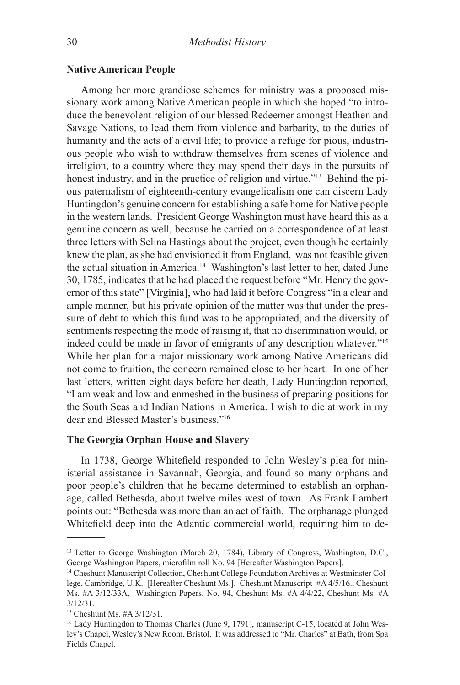### **Native American People**

Among her more grandiose schemes for ministry was a proposed missionary work among Native American people in which she hoped "to introduce the benevolent religion of our blessed Redeemer amongst Heathen and Savage Nations, to lead them from violence and barbarity, to the duties of humanity and the acts of a civil life; to provide a refuge for pious, industrious people who wish to withdraw themselves from scenes of violence and irreligion, to a country where they may spend their days in the pursuits of honest industry, and in the practice of religion and virtue."<sup>13</sup> Behind the pious paternalism of eighteenth-century evangelicalism one can discern Lady Huntingdon's genuine concern for establishing a safe home for Native people in the western lands. President George Washington must have heard this as a genuine concern as well, because he carried on a correspondence of at least three letters with Selina Hastings about the project, even though he certainly knew the plan, as she had envisioned it from England, was not feasible given the actual situation in America.<sup>14</sup> Washington's last letter to her, dated June 30, 1785, indicates that he had placed the request before "Mr. Henry the governor of this state" [Virginia], who had laid it before Congress "in a clear and ample manner, but his private opinion of the matter was that under the pressure of debt to which this fund was to be appropriated, and the diversity of sentiments respecting the mode of raising it, that no discrimination would, or indeed could be made in favor of emigrants of any description whatever."15 While her plan for a major missionary work among Native Americans did not come to fruition, the concern remained close to her heart. In one of her last letters, written eight days before her death, Lady Huntingdon reported, "I am weak and low and enmeshed in the business of preparing positions for the South Seas and Indian Nations in America. I wish to die at work in my dear and Blessed Master's business."16

# **The Georgia Orphan House and Slavery**

In 1738, George Whitefield responded to John Wesley's plea for ministerial assistance in Savannah, Georgia, and found so many orphans and poor people's children that he became determined to establish an orphanage, called Bethesda, about twelve miles west of town. As Frank Lambert points out: "Bethesda was more than an act of faith. The orphanage plunged Whitefield deep into the Atlantic commercial world, requiring him to de-

<sup>&</sup>lt;sup>13</sup> Letter to George Washington (March 20, 1784), Library of Congress, Washington, D.C., George Washington Papers, microfilm roll No. 94 [Hereafter Washington Papers].

<sup>14</sup> Cheshunt Manuscript Collection, Cheshunt College Foundation Archives at Westminster College, Cambridge, U.K. [Hereafter Cheshunt Ms.]. Cheshunt Manuscript #A 4/5/16., Cheshunt Ms. #A 3/12/33A, Washington Papers, No. 94, Cheshunt Ms. #A 4/4/22, Cheshunt Ms. #A 3/12/31.

<sup>15</sup> Cheshunt Ms. #A 3/12/31.

<sup>&</sup>lt;sup>16</sup> Lady Huntingdon to Thomas Charles (June 9, 1791), manuscript C-15, located at John Wesley's Chapel, Wesley's New Room, Bristol. It was addressed to "Mr. Charles" at Bath, from Spa Fields Chapel.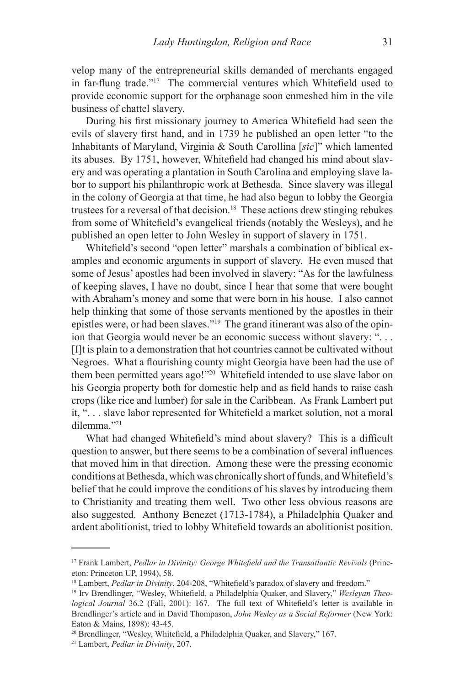velop many of the entrepreneurial skills demanded of merchants engaged in far-flung trade."<sup>17</sup> The commercial ventures which Whitefield used to provide economic support for the orphanage soon enmeshed him in the vile business of chattel slavery.

During his first missionary journey to America Whitefield had seen the evils of slavery first hand, and in 1739 he published an open letter "to the Inhabitants of Maryland, Virginia & South Carollina [*sic*]" which lamented its abuses. By 1751, however, Whitefield had changed his mind about slavery and was operating a plantation in South Carolina and employing slave labor to support his philanthropic work at Bethesda. Since slavery was illegal in the colony of Georgia at that time, he had also begun to lobby the Georgia trustees for a reversal of that decision.18 These actions drew stinging rebukes from some of Whitefield's evangelical friends (notably the Wesleys), and he published an open letter to John Wesley in support of slavery in 1751.

Whitefield's second "open letter" marshals a combination of biblical examples and economic arguments in support of slavery. He even mused that some of Jesus' apostles had been involved in slavery: "As for the lawfulness of keeping slaves, I have no doubt, since I hear that some that were bought with Abraham's money and some that were born in his house. I also cannot help thinking that some of those servants mentioned by the apostles in their epistles were, or had been slaves."19 The grand itinerant was also of the opinion that Georgia would never be an economic success without slavery: ". . . [I]t is plain to a demonstration that hot countries cannot be cultivated without Negroes. What a flourishing county might Georgia have been had the use of them been permitted years ago!"20 Whitefield intended to use slave labor on his Georgia property both for domestic help and as field hands to raise cash crops (like rice and lumber) for sale in the Caribbean. As Frank Lambert put it, ". . . slave labor represented for Whitefield a market solution, not a moral dilemma."21

What had changed Whitefield's mind about slavery? This is a difficult question to answer, but there seems to be a combination of several influences that moved him in that direction. Among these were the pressing economic conditions at Bethesda, which was chronically short of funds, and Whitefield's belief that he could improve the conditions of his slaves by introducing them to Christianity and treating them well. Two other less obvious reasons are also suggested. Anthony Benezet (1713-1784), a Philadelphia Quaker and ardent abolitionist, tried to lobby Whitefield towards an abolitionist position.

<sup>17</sup> Frank Lambert, *Pedlar in Divinity: George Whitefield and the Transatlantic Revivals* (Princeton: Princeton UP, 1994), 58.

<sup>&</sup>lt;sup>18</sup> Lambert, *Pedlar in Divinity*, 204-208, "Whitefield's paradox of slavery and freedom."

<sup>19</sup> Irv Brendlinger, "Wesley, Whitefield, a Philadelphia Quaker, and Slavery," *Wesleyan Theological Journal* 36.2 (Fall, 2001): 167. The full text of Whitefield's letter is available in Brendlinger's article and in David Thompason, *John Wesley as a Social Reformer* (New York: Eaton & Mains, 1898): 43-45.

<sup>20</sup> Brendlinger, "Wesley, Whitefield, a Philadelphia Quaker, and Slavery," 167.

<sup>21</sup> Lambert, *Pedlar in Divinity*, 207.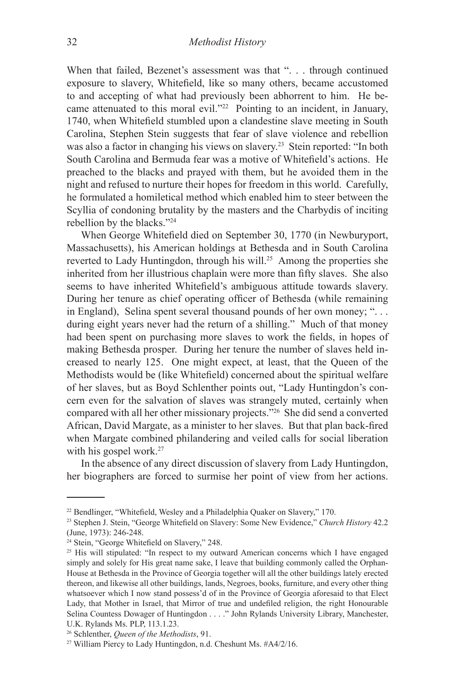When that failed, Bezenet's assessment was that ". . . through continued exposure to slavery, Whitefield, like so many others, became accustomed to and accepting of what had previously been abhorrent to him. He became attenuated to this moral evil."22 Pointing to an incident, in January, 1740, when Whitefield stumbled upon a clandestine slave meeting in South Carolina, Stephen Stein suggests that fear of slave violence and rebellion was also a factor in changing his views on slavery.23 Stein reported: "In both South Carolina and Bermuda fear was a motive of Whitefield's actions. He preached to the blacks and prayed with them, but he avoided them in the night and refused to nurture their hopes for freedom in this world. Carefully, he formulated a homiletical method which enabled him to steer between the Scyllia of condoning brutality by the masters and the Charbydis of inciting rebellion by the blacks."24

When George Whitefield died on September 30, 1770 (in Newburyport, Massachusetts), his American holdings at Bethesda and in South Carolina reverted to Lady Huntingdon, through his will.25 Among the properties she inherited from her illustrious chaplain were more than fifty slaves. She also seems to have inherited Whitefield's ambiguous attitude towards slavery. During her tenure as chief operating officer of Bethesda (while remaining in England), Selina spent several thousand pounds of her own money; ". . . during eight years never had the return of a shilling." Much of that money had been spent on purchasing more slaves to work the fields, in hopes of making Bethesda prosper. During her tenure the number of slaves held increased to nearly 125. One might expect, at least, that the Queen of the Methodists would be (like Whitefield) concerned about the spiritual welfare of her slaves, but as Boyd Schlenther points out, "Lady Huntingdon's concern even for the salvation of slaves was strangely muted, certainly when compared with all her other missionary projects."26 She did send a converted African, David Margate, as a minister to her slaves. But that plan back-fired when Margate combined philandering and veiled calls for social liberation with his gospel work.<sup>27</sup>

In the absence of any direct discussion of slavery from Lady Huntingdon, her biographers are forced to surmise her point of view from her actions.

<sup>22</sup> Bendlinger, "Whitefield, Wesley and a Philadelphia Quaker on Slavery," 170.

<sup>23</sup> Stephen J. Stein, "George Whitefield on Slavery: Some New Evidence," *Church History* 42.2 (June, 1973): 246-248.

<sup>&</sup>lt;sup>24</sup> Stein, "George Whitefield on Slavery," 248.

<sup>&</sup>lt;sup>25</sup> His will stipulated: "In respect to my outward American concerns which I have engaged simply and solely for His great name sake, I leave that building commonly called the Orphan-House at Bethesda in the Province of Georgia together will all the other buildings lately erected thereon, and likewise all other buildings, lands, Negroes, books, furniture, and every other thing whatsoever which I now stand possess'd of in the Province of Georgia aforesaid to that Elect Lady, that Mother in Israel, that Mirror of true and undefiled religion, the right Honourable Selina Countess Dowager of Huntingdon . . . ." John Rylands University Library, Manchester, U.K. Rylands Ms. PLP, 113.1.23.

<sup>26</sup> Schlenther, *Queen of the Methodists*, 91.

<sup>27</sup> William Piercy to Lady Huntingdon, n.d. Cheshunt Ms. #A4/2/16.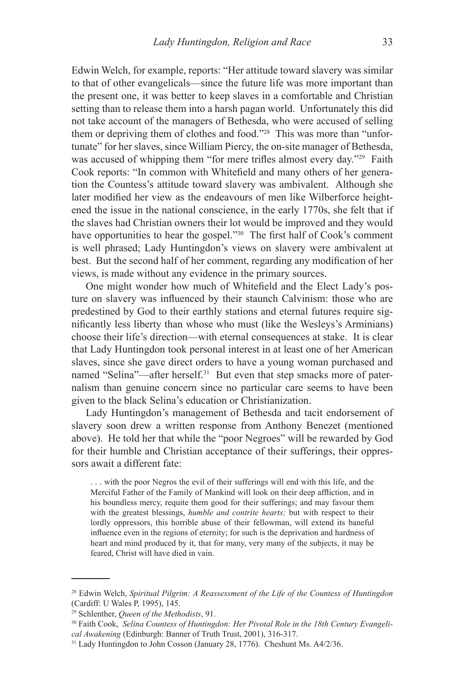Edwin Welch, for example, reports: "Her attitude toward slavery was similar to that of other evangelicals—since the future life was more important than the present one, it was better to keep slaves in a comfortable and Christian setting than to release them into a harsh pagan world. Unfortunately this did not take account of the managers of Bethesda, who were accused of selling them or depriving them of clothes and food."28 This was more than "unfortunate" for her slaves, since William Piercy, the on-site manager of Bethesda, was accused of whipping them "for mere trifles almost every day."<sup>29</sup> Faith Cook reports: "In common with Whitefield and many others of her generation the Countess's attitude toward slavery was ambivalent. Although she later modified her view as the endeavours of men like Wilberforce heightened the issue in the national conscience, in the early 1770s, she felt that if the slaves had Christian owners their lot would be improved and they would have opportunities to hear the gospel."<sup>30</sup> The first half of Cook's comment is well phrased; Lady Huntingdon's views on slavery were ambivalent at best. But the second half of her comment, regarding any modification of her views, is made without any evidence in the primary sources.

One might wonder how much of Whitefield and the Elect Lady's posture on slavery was influenced by their staunch Calvinism: those who are predestined by God to their earthly stations and eternal futures require significantly less liberty than whose who must (like the Wesleys's Arminians) choose their life's direction—with eternal consequences at stake. It is clear that Lady Huntingdon took personal interest in at least one of her American slaves, since she gave direct orders to have a young woman purchased and named "Selina"—after herself.<sup>31</sup> But even that step smacks more of paternalism than genuine concern since no particular care seems to have been given to the black Selina's education or Christianization.

Lady Huntingdon's management of Bethesda and tacit endorsement of slavery soon drew a written response from Anthony Benezet (mentioned above). He told her that while the "poor Negroes" will be rewarded by God for their humble and Christian acceptance of their sufferings, their oppressors await a different fate:

. . . with the poor Negros the evil of their sufferings will end with this life, and the Merciful Father of the Family of Mankind will look on their deep affliction, and in his boundless mercy, requite them good for their sufferings; and may favour them with the greatest blessings, *humble and contrite hearts;* but with respect to their lordly oppressors, this horrible abuse of their fellowman, will extend its baneful influence even in the regions of eternity; for such is the deprivation and hardness of heart and mind produced by it, that for many, very many of the subjects, it may be feared, Christ will have died in vain.

<sup>28</sup> Edwin Welch, *Spiritual Pilgrim: A Reassessment of the Life of the Countess of Huntingdon* (Cardiff: U Wales P, 1995), 145.

<sup>29</sup> Schlenther, *Queen of the Methodists*, 91.

<sup>30</sup> Faith Cook, *Selina Countess of Huntingdon: Her Pivotal Role in the 18th Century Evangelical Awakening* (Edinburgh: Banner of Truth Trust, 2001), 316-317.

<sup>&</sup>lt;sup>31</sup> Lady Huntingdon to John Cosson (January 28, 1776). Cheshunt Ms. A4/2/36.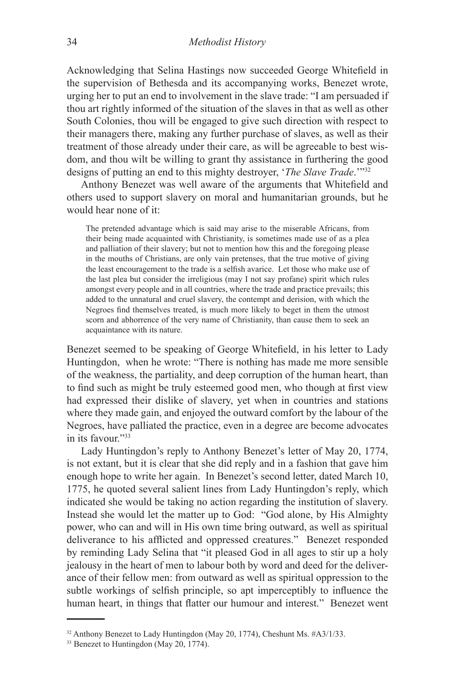Acknowledging that Selina Hastings now succeeded George Whitefield in the supervision of Bethesda and its accompanying works, Benezet wrote, urging her to put an end to involvement in the slave trade: "I am persuaded if thou art rightly informed of the situation of the slaves in that as well as other South Colonies, thou will be engaged to give such direction with respect to their managers there, making any further purchase of slaves, as well as their treatment of those already under their care, as will be agreeable to best wisdom, and thou wilt be willing to grant thy assistance in furthering the good designs of putting an end to this mighty destroyer, '*The Slave Trade*.'"32

Anthony Benezet was well aware of the arguments that Whitefield and others used to support slavery on moral and humanitarian grounds, but he would hear none of it:

The pretended advantage which is said may arise to the miserable Africans, from their being made acquainted with Christianity, is sometimes made use of as a plea and palliation of their slavery; but not to mention how this and the foregoing please in the mouths of Christians, are only vain pretenses, that the true motive of giving the least encouragement to the trade is a selfish avarice. Let those who make use of the last plea but consider the irreligious (may I not say profane) spirit which rules amongst every people and in all countries, where the trade and practice prevails; this added to the unnatural and cruel slavery, the contempt and derision, with which the Negroes find themselves treated, is much more likely to beget in them the utmost scorn and abhorrence of the very name of Christianity, than cause them to seek an acquaintance with its nature.

Benezet seemed to be speaking of George Whitefield, in his letter to Lady Huntingdon, when he wrote: "There is nothing has made me more sensible of the weakness, the partiality, and deep corruption of the human heart, than to find such as might be truly esteemed good men, who though at first view had expressed their dislike of slavery, yet when in countries and stations where they made gain, and enjoyed the outward comfort by the labour of the Negroes, have palliated the practice, even in a degree are become advocates in its favour."33

Lady Huntingdon's reply to Anthony Benezet's letter of May 20, 1774, is not extant, but it is clear that she did reply and in a fashion that gave him enough hope to write her again. In Benezet's second letter, dated March 10, 1775, he quoted several salient lines from Lady Huntingdon's reply, which indicated she would be taking no action regarding the institution of slavery. Instead she would let the matter up to God: "God alone, by His Almighty power, who can and will in His own time bring outward, as well as spiritual deliverance to his afflicted and oppressed creatures." Benezet responded by reminding Lady Selina that "it pleased God in all ages to stir up a holy jealousy in the heart of men to labour both by word and deed for the deliverance of their fellow men: from outward as well as spiritual oppression to the subtle workings of selfish principle, so apt imperceptibly to influence the human heart, in things that flatter our humour and interest." Benezet went

<sup>32</sup> Anthony Benezet to Lady Huntingdon (May 20, 1774), Cheshunt Ms. #A3/1/33.

<sup>&</sup>lt;sup>33</sup> Benezet to Huntingdon (May 20, 1774).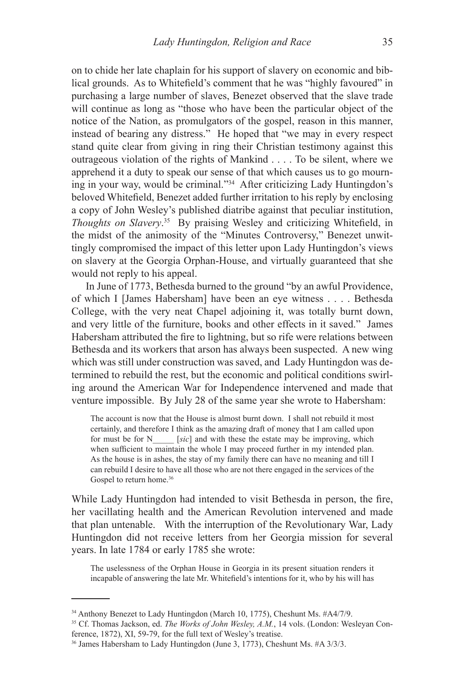on to chide her late chaplain for his support of slavery on economic and biblical grounds. As to Whitefield's comment that he was "highly favoured" in purchasing a large number of slaves, Benezet observed that the slave trade will continue as long as "those who have been the particular object of the notice of the Nation, as promulgators of the gospel, reason in this manner, instead of bearing any distress." He hoped that "we may in every respect stand quite clear from giving in ring their Christian testimony against this outrageous violation of the rights of Mankind . . . . To be silent, where we apprehend it a duty to speak our sense of that which causes us to go mourning in your way, would be criminal."34 After criticizing Lady Huntingdon's beloved Whitefield, Benezet added further irritation to his reply by enclosing a copy of John Wesley's published diatribe against that peculiar institution, *Thoughts on Slavery*. <sup>35</sup> By praising Wesley and criticizing Whitefield, in the midst of the animosity of the "Minutes Controversy," Benezet unwittingly compromised the impact of this letter upon Lady Huntingdon's views on slavery at the Georgia Orphan-House, and virtually guaranteed that she would not reply to his appeal.

In June of 1773, Bethesda burned to the ground "by an awful Providence, of which I [James Habersham] have been an eye witness . . . . Bethesda College, with the very neat Chapel adjoining it, was totally burnt down, and very little of the furniture, books and other effects in it saved." James Habersham attributed the fire to lightning, but so rife were relations between Bethesda and its workers that arson has always been suspected. A new wing which was still under construction was saved, and Lady Huntingdon was determined to rebuild the rest, but the economic and political conditions swirling around the American War for Independence intervened and made that venture impossible. By July 28 of the same year she wrote to Habersham:

The account is now that the House is almost burnt down. I shall not rebuild it most certainly, and therefore I think as the amazing draft of money that I am called upon for must be for N\_\_\_\_\_ [*sic*] and with these the estate may be improving, which when sufficient to maintain the whole I may proceed further in my intended plan. As the house is in ashes, the stay of my family there can have no meaning and till I can rebuild I desire to have all those who are not there engaged in the services of the Gospel to return home.<sup>36</sup>

While Lady Huntingdon had intended to visit Bethesda in person, the fire, her vacillating health and the American Revolution intervened and made that plan untenable. With the interruption of the Revolutionary War, Lady Huntingdon did not receive letters from her Georgia mission for several years. In late 1784 or early 1785 she wrote:

The uselessness of the Orphan House in Georgia in its present situation renders it incapable of answering the late Mr. Whitefield's intentions for it, who by his will has

<sup>&</sup>lt;sup>34</sup> Anthony Benezet to Lady Huntingdon (March 10, 1775), Cheshunt Ms. #A4/7/9.

<sup>35</sup> Cf. Thomas Jackson, ed. *The Works of John Wesley, A.M.*, 14 vols. (London: Wesleyan Conference, 1872), XI, 59-79, for the full text of Wesley's treatise.

<sup>36</sup> James Habersham to Lady Huntingdon (June 3, 1773), Cheshunt Ms. #A 3/3/3.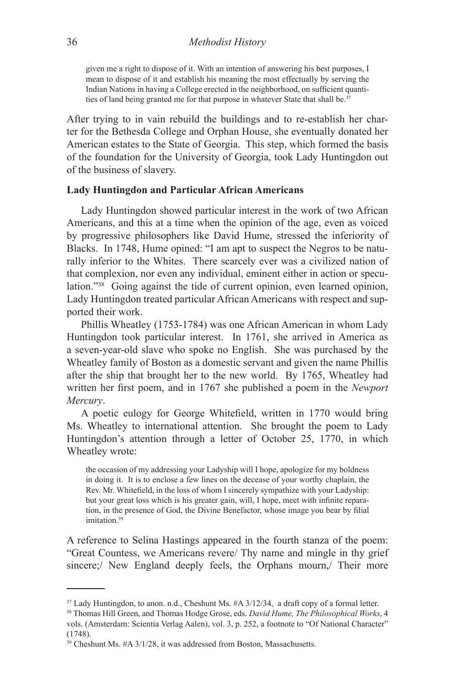given me a right to dispose of it. With an intention of answering his best purposes, I mean to dispose of it and establish his meaning the most effectually by serving the Indian Nations in having a College erected in the neighborhood, on sufficient quantities of land being granted me for that purpose in whatever State that shall be.<sup>37</sup>

After trying to in vain rebuild the buildings and to re-establish her charter for the Bethesda College and Orphan House, she eventually donated her American estates to the State of Georgia. This step, which formed the basis of the foundation for the University of Georgia, took Lady Huntingdon out of the business of slavery.

### **Lady Huntingdon and Particular African Americans**

Lady Huntingdon showed particular interest in the work of two African Americans, and this at a time when the opinion of the age, even as voiced by progressive philosophers like David Hume, stressed the inferiority of Blacks. In 1748, Hume opined: "I am apt to suspect the Negros to be naturally inferior to the Whites. There scarcely ever was a civilized nation of that complexion, nor even any individual, eminent either in action or speculation."<sup>38</sup> Going against the tide of current opinion, even learned opinion, Lady Huntingdon treated particular African Americans with respect and supported their work.

Phillis Wheatley (1753-1784) was one African American in whom Lady Huntingdon took particular interest. In 1761, she arrived in America as a seven-year-old slave who spoke no English. She was purchased by the Wheatley family of Boston as a domestic servant and given the name Phillis after the ship that brought her to the new world. By 1765, Wheatley had written her first poem, and in 1767 she published a poem in the *Newport Mercury*.

A poetic eulogy for George Whitefield, written in 1770 would bring Ms. Wheatley to international attention. She brought the poem to Lady Huntingdon's attention through a letter of October 25, 1770, in which Wheatley wrote:

the occasion of my addressing your Ladyship will I hope, apologize for my boldness in doing it. It is to enclose a few lines on the decease of your worthy chaplain, the Rev. Mr. Whitefield, in the loss of whom I sincerely sympathize with your Ladyship: but your great loss which is his greater gain, will, I hope, meet with infinite reparation, in the presence of God, the Divine Benefactor, whose image you bear by filial imitation.<sup>39</sup>

A reference to Selina Hastings appeared in the fourth stanza of the poem: "Great Countess, we Americans revere/ Thy name and mingle in thy grief sincere;/ New England deeply feels, the Orphans mourn,/ Their more

<sup>&</sup>lt;sup>37</sup> Lady Huntingdon, to anon. n.d., Cheshunt Ms. #A 3/12/34, a draft copy of a formal letter.

<sup>38</sup> Thomas Hill Green, and Thomas Hodge Grose, eds. *David Hume, The Philosophical Works*, 4 vols. (Amsterdam: Scientia Verlag Aalen), vol. 3, p. 252, a footnote to "Of National Character" (1748).

<sup>39</sup> Cheshunt Ms. #A 3/1/28, it was addressed from Boston, Massachusetts.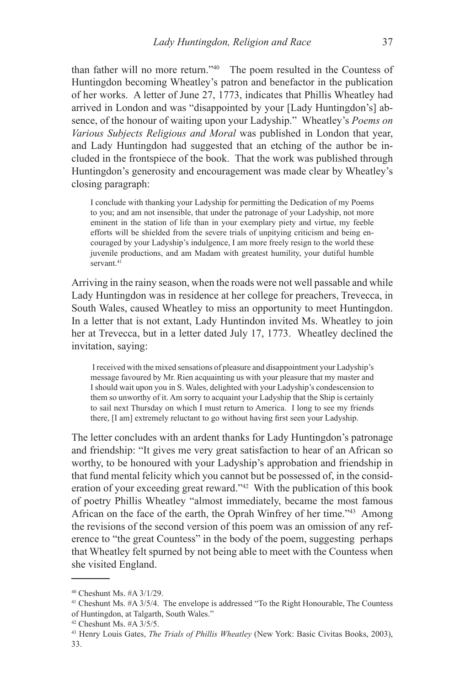than father will no more return."40 The poem resulted in the Countess of Huntingdon becoming Wheatley's patron and benefactor in the publication of her works. A letter of June 27, 1773, indicates that Phillis Wheatley had arrived in London and was "disappointed by your [Lady Huntingdon's] absence, of the honour of waiting upon your Ladyship." Wheatley's *Poems on Various Subjects Religious and Moral* was published in London that year, and Lady Huntingdon had suggested that an etching of the author be included in the frontspiece of the book. That the work was published through Huntingdon's generosity and encouragement was made clear by Wheatley's closing paragraph:

I conclude with thanking your Ladyship for permitting the Dedication of my Poems to you; and am not insensible, that under the patronage of your Ladyship, not more eminent in the station of life than in your exemplary piety and virtue, my feeble efforts will be shielded from the severe trials of unpitying criticism and being encouraged by your Ladyship's indulgence, I am more freely resign to the world these juvenile productions, and am Madam with greatest humility, your dutiful humble servant.<sup>41</sup>

Arriving in the rainy season, when the roads were not well passable and while Lady Huntingdon was in residence at her college for preachers, Trevecca, in South Wales, caused Wheatley to miss an opportunity to meet Huntingdon. In a letter that is not extant, Lady Huntindon invited Ms. Wheatley to join her at Trevecca, but in a letter dated July 17, 1773. Wheatley declined the invitation, saying:

I received with the mixed sensations of pleasure and disappointment your Ladyship's message favoured by Mr. Rien acquainting us with your pleasure that my master and I should wait upon you in S. Wales, delighted with your Ladyship's condescension to them so unworthy of it. Am sorry to acquaint your Ladyship that the Ship is certainly to sail next Thursday on which I must return to America. I long to see my friends there, [I am] extremely reluctant to go without having first seen your Ladyship.

The letter concludes with an ardent thanks for Lady Huntingdon's patronage and friendship: "It gives me very great satisfaction to hear of an African so worthy, to be honoured with your Ladyship's approbation and friendship in that fund mental felicity which you cannot but be possessed of, in the consideration of your exceeding great reward."42 With the publication of this book of poetry Phillis Wheatley "almost immediately, became the most famous African on the face of the earth, the Oprah Winfrey of her time."43 Among the revisions of the second version of this poem was an omission of any reference to "the great Countess" in the body of the poem, suggesting perhaps that Wheatley felt spurned by not being able to meet with the Countess when she visited England.

<sup>40</sup> Cheshunt Ms. #A 3/1/29.

<sup>&</sup>lt;sup>41</sup> Cheshunt Ms. #A 3/5/4. The envelope is addressed "To the Right Honourable, The Countess of Huntingdon, at Talgarth, South Wales."

 $42$  Cheshunt Ms.  $#A$  3/5/5.

<sup>43</sup> Henry Louis Gates, *The Trials of Phillis Wheatley* (New York: Basic Civitas Books, 2003), 33.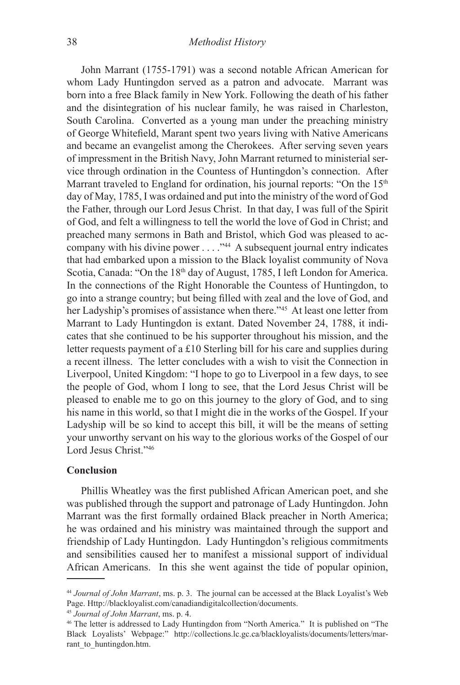John Marrant (1755-1791) was a second notable African American for whom Lady Huntingdon served as a patron and advocate. Marrant was born into a free Black family in New York. Following the death of his father and the disintegration of his nuclear family, he was raised in Charleston, South Carolina. Converted as a young man under the preaching ministry of George Whitefield, Marant spent two years living with Native Americans and became an evangelist among the Cherokees. After serving seven years of impressment in the British Navy, John Marrant returned to ministerial service through ordination in the Countess of Huntingdon's connection. After Marrant traveled to England for ordination, his journal reports: "On the 15<sup>th</sup> day of May, 1785, I was ordained and put into the ministry of the word of God the Father, through our Lord Jesus Christ. In that day, I was full of the Spirit of God, and felt a willingness to tell the world the love of God in Christ; and preached many sermons in Bath and Bristol, which God was pleased to accompany with his divine power . . . ."44 A subsequent journal entry indicates that had embarked upon a mission to the Black loyalist community of Nova Scotia, Canada: "On the 18<sup>th</sup> day of August, 1785, I left London for America. In the connections of the Right Honorable the Countess of Huntingdon, to go into a strange country; but being filled with zeal and the love of God, and her Ladyship's promises of assistance when there."<sup>45</sup> At least one letter from Marrant to Lady Huntingdon is extant. Dated November 24, 1788, it indicates that she continued to be his supporter throughout his mission, and the letter requests payment of a £10 Sterling bill for his care and supplies during a recent illness. The letter concludes with a wish to visit the Connection in Liverpool, United Kingdom: "I hope to go to Liverpool in a few days, to see the people of God, whom I long to see, that the Lord Jesus Christ will be pleased to enable me to go on this journey to the glory of God, and to sing his name in this world, so that I might die in the works of the Gospel. If your Ladyship will be so kind to accept this bill, it will be the means of setting your unworthy servant on his way to the glorious works of the Gospel of our Lord Jesus Christ<sup>."46</sup>

### **Conclusion**

Phillis Wheatley was the first published African American poet, and she was published through the support and patronage of Lady Huntingdon. John Marrant was the first formally ordained Black preacher in North America; he was ordained and his ministry was maintained through the support and friendship of Lady Huntingdon. Lady Huntingdon's religious commitments and sensibilities caused her to manifest a missional support of individual African Americans. In this she went against the tide of popular opinion,

<sup>44</sup> *Journal of John Marrant*, ms. p. 3. The journal can be accessed at the Black Loyalist's Web Page. Http://blackloyalist.com/canadiandigitalcollection/documents.

<sup>45</sup> *Journal of John Marrant*, ms. p. 4.

<sup>46</sup> The letter is addressed to Lady Huntingdon from "North America." It is published on "The Black Loyalists' Webpage:" http://collections.lc.gc.ca/blackloyalists/documents/letters/marrant\_to\_huntingdon.htm.